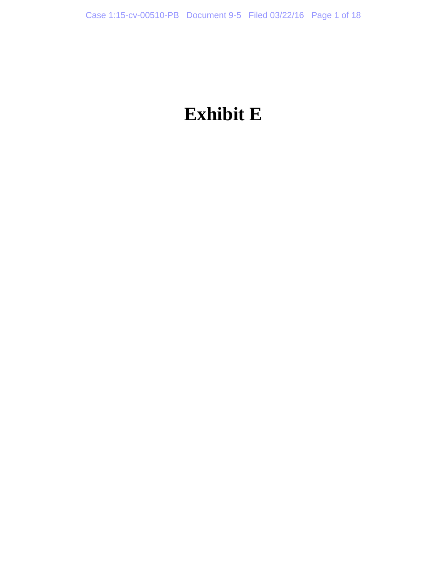# **Exhibit E**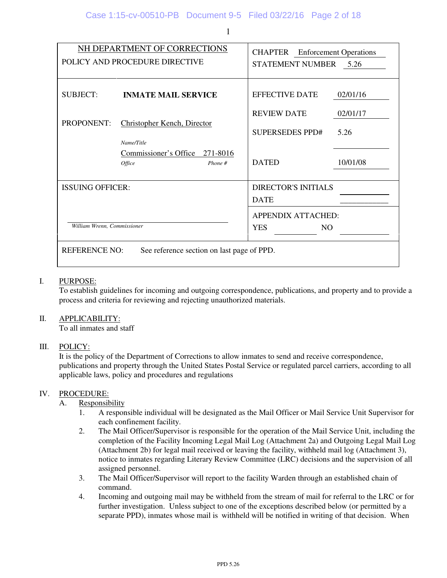|                             | NH DEPARTMENT OF CORRECTIONS<br>POLICY AND PROCEDURE DIRECTIVE | <b>CHAPTER</b> Enforcement Operations<br><b>STATEMENT NUMBER</b> | 5.26             |
|-----------------------------|----------------------------------------------------------------|------------------------------------------------------------------|------------------|
| <b>SUBJECT:</b>             | <b>INMATE MAIL SERVICE</b>                                     | <b>EFFECTIVE DATE</b>                                            | 02/01/16         |
| <b>PROPONENT:</b>           | <b>Christopher Kench, Director</b><br>Name/Title               | <b>REVIEW DATE</b><br><b>SUPERSEDES PPD#</b>                     | 02/01/17<br>5.26 |
|                             | Commissioner's Office 271-8016<br><i>Office</i><br>Phone #     | <b>DATED</b>                                                     | 10/01/08         |
| <b>ISSUING OFFICER:</b>     |                                                                | <b>DIRECTOR'S INITIALS</b><br><b>DATE</b>                        |                  |
| William Wrenn, Commissioner |                                                                | <b>APPENDIX ATTACHED:</b><br><b>YES</b><br>NO.                   |                  |

REFERENCE NO: See reference section on last page of PPD.

#### I. PURPOSE:

 To establish guidelines for incoming and outgoing correspondence, publications, and property and to provide a process and criteria for reviewing and rejecting unauthorized materials.

#### II. APPLICABILITY:

To all inmates and staff

#### III. POLICY:

 It is the policy of the Department of Corrections to allow inmates to send and receive correspondence, publications and property through the United States Postal Service or regulated parcel carriers, according to all applicable laws, policy and procedures and regulations

#### IV. PROCEDURE:

#### A. Responsibility

- 1. A responsible individual will be designated as the Mail Officer or Mail Service Unit Supervisor for each confinement facility.
- 2. The Mail Officer/Supervisor is responsible for the operation of the Mail Service Unit, including the completion of the Facility Incoming Legal Mail Log (Attachment 2a) and Outgoing Legal Mail Log (Attachment 2b) for legal mail received or leaving the facility, withheld mail log (Attachment 3), notice to inmates regarding Literary Review Committee (LRC) decisions and the supervision of all assigned personnel.
- 3. The Mail Officer/Supervisor will report to the facility Warden through an established chain of command.
- 4. Incoming and outgoing mail may be withheld from the stream of mail for referral to the LRC or for further investigation. Unless subject to one of the exceptions described below (or permitted by a separate PPD), inmates whose mail is withheld will be notified in writing of that decision. When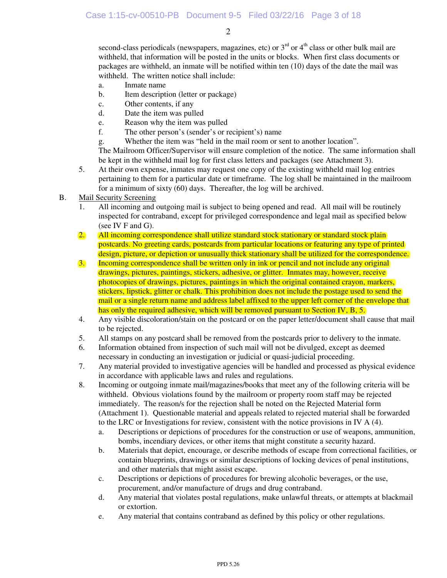second-class periodicals (newspapers, magazines, etc) or  $3<sup>rd</sup>$  or  $4<sup>th</sup>$  class or other bulk mail are withheld, that information will be posted in the units or blocks. When first class documents or packages are withheld, an inmate will be notified within ten (10) days of the date the mail was withheld. The written notice shall include:

- a. Inmate name
- b. Item description (letter or package)
- c. Other contents, if any
- d. Date the item was pulled
- e. Reason why the item was pulled
- f. The other person's (sender's or recipient's) name
- g. Whether the item was "held in the mail room or sent to another location".

 The Mailroom Officer/Supervisor will ensure completion of the notice. The same information shall be kept in the withheld mail log for first class letters and packages (see Attachment 3).

5. At their own expense, inmates may request one copy of the existing withheld mail log entries pertaining to them for a particular date or timeframe. The log shall be maintained in the mailroom for a minimum of sixty (60) days. Thereafter, the log will be archived.

#### B. Mail Security Screening

- 1. All incoming and outgoing mail is subject to being opened and read. All mail will be routinely inspected for contraband, except for privileged correspondence and legal mail as specified below (see IV F and G).
- 2. All incoming correspondence shall utilize standard stock stationary or standard stock plain postcards. No greeting cards, postcards from particular locations or featuring any type of printed design, picture, or depiction or unusually thick stationary shall be utilized for the correspondence.
- 3. Incoming correspondence shall be written only in ink or pencil and not include any original drawings, pictures, paintings, stickers, adhesive, or glitter. Inmates may, however, receive photocopies of drawings, pictures, paintings in which the original contained crayon, markers, stickers, lipstick, glitter or chalk. This prohibition does not include the postage used to send the mail or a single return name and address label affixed to the upper left corner of the envelope that has only the required adhesive, which will be removed pursuant to Section IV, B, 5.
- 4. Any visible discoloration/stain on the postcard or on the paper letter/document shall cause that mail to be rejected.
- 5. All stamps on any postcard shall be removed from the postcards prior to delivery to the inmate.
- 6. Information obtained from inspection of such mail will not be divulged, except as deemed necessary in conducting an investigation or judicial or quasi-judicial proceeding.
- 7. Any material provided to investigative agencies will be handled and processed as physical evidence in accordance with applicable laws and rules and regulations.
- 8. Incoming or outgoing inmate mail/magazines/books that meet any of the following criteria will be withheld. Obvious violations found by the mailroom or property room staff may be rejected immediately. The reason/s for the rejection shall be noted on the Rejected Material form (Attachment 1). Questionable material and appeals related to rejected material shall be forwarded to the LRC or Investigations for review, consistent with the notice provisions in IV A (4).
	- a. Descriptions or depictions of procedures for the construction or use of weapons, ammunition, bombs, incendiary devices, or other items that might constitute a security hazard.
	- b. Materials that depict, encourage, or describe methods of escape from correctional facilities, or contain blueprints, drawings or similar descriptions of locking devices of penal institutions, and other materials that might assist escape.
	- c. Descriptions or depictions of procedures for brewing alcoholic beverages, or the use, procurement, and/or manufacture of drugs and drug contraband.
	- d. Any material that violates postal regulations, make unlawful threats, or attempts at blackmail or extortion.
	- e. Any material that contains contraband as defined by this policy or other regulations.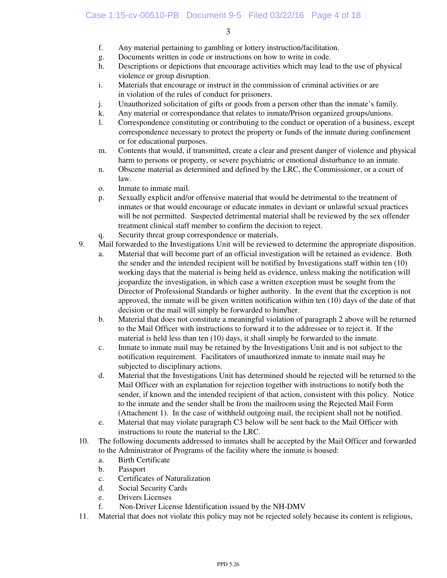- f. Any material pertaining to gambling or lottery instruction/facilitation.
- g. Documents written in code or instructions on how to write in code.
- h. Descriptions or depictions that encourage activities which may lead to the use of physical violence or group disruption.
- i. Materials that encourage or instruct in the commission of criminal activities or are in violation of the rules of conduct for prisoners.
- j. Unauthorized solicitation of gifts or goods from a person other than the inmate's family.
- k. Any material or correspondance that relates to inmate/Prison organized groups/unions.
- l. Correspondence constituting or contributing to the conduct or operation of a business, except correspondence necessary to protect the property or funds of the inmate during confinement or for educational purposes.
- m. Contents that would, if transmitted, create a clear and present danger of violence and physical harm to persons or property, or severe psychiatric or emotional disturbance to an inmate.
- n. Obscene material as determined and defined by the LRC, the Commissioner, or a court of law.
- o. Inmate to inmate mail.
- p. Sexually explicit and/or offensive material that would be detrimental to the treatment of inmates or that would encourage or educate inmates in deviant or unlawful sexual practices will be not permitted. Suspected detrimental material shall be reviewed by the sex offender treatment clinical staff member to confirm the decision to reject.
- q. Security threat group correspondence or materials.
- 9. Mail forwarded to the Investigations Unit will be reviewed to determine the appropriate disposition.
	- a. Material that will become part of an official investigation will be retained as evidence. Both the sender and the intended recipient will be notified by Investigations staff within ten (10) working days that the material is being held as evidence, unless making the notification will jeopardize the investigation, in which case a written exception must be sought from the Director of Professional Standards or higher authority. In the event that the exception is not approved, the inmate will be given written notification within ten (10) days of the date of that decision or the mail will simply be forwarded to him/her.
	- b. Material that does not constitute a meaningful violation of paragraph 2 above will be returned to the Mail Officer with instructions to forward it to the addressee or to reject it. If the material is held less than ten (10) days, it shall simply be forwarded to the inmate.
	- c. Inmate to inmate mail may be retained by the Investigations Unit and is not subject to the notification requirement. Facilitators of unauthorized inmate to inmate mail may be subjected to disciplinary actions.
	- d. Material that the Investigations Unit has determined should be rejected will be returned to the Mail Officer with an explanation for rejection together with instructions to notify both the sender, if known and the intended recipient of that action, consistent with this policy. Notice to the inmate and the sender shall be from the mailroom using the Rejected Mail Form (Attachment 1). In the case of withheld outgoing mail, the recipient shall not be notified.
	- e. Material that may violate paragraph C3 below will be sent back to the Mail Officer with instructions to route the material to the LRC.
- 10. The following documents addressed to inmates shall be accepted by the Mail Officer and forwarded to the Administrator of Programs of the facility where the inmate is housed:
	- a. Birth Certificate
	- b. Passport
	- c. Certificates of Naturalization
	- d. Social Security Cards
	- e. Drivers Licenses
	- f. Non-Driver License Identification issued by the NH-DMV
- 11. Material that does not violate this policy may not be rejected solely because its content is religious,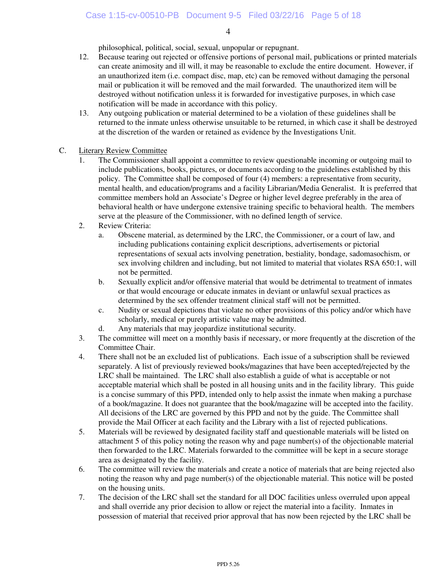philosophical, political, social, sexual, unpopular or repugnant.

- 12. Because tearing out rejected or offensive portions of personal mail, publications or printed materials can create animosity and ill will, it may be reasonable to exclude the entire document. However, if an unauthorized item (i.e. compact disc, map, etc) can be removed without damaging the personal mail or publication it will be removed and the mail forwarded. The unauthorized item will be destroyed without notification unless it is forwarded for investigative purposes, in which case notification will be made in accordance with this policy.
- 13. Any outgoing publication or material determined to be a violation of these guidelines shall be returned to the inmate unless otherwise unsuitable to be returned, in which case it shall be destroyed at the discretion of the warden or retained as evidence by the Investigations Unit.

#### C. Literary Review Committee

- 1. The Commissioner shall appoint a committee to review questionable incoming or outgoing mail to include publications, books, pictures, or documents according to the guidelines established by this policy. The Committee shall be composed of four (4) members: a representative from security, mental health, and education/programs and a facility Librarian/Media Generalist. It is preferred that committee members hold an Associate's Degree or higher level degree preferably in the area of behavioral health or have undergone extensive training specific to behavioral health. The members serve at the pleasure of the Commissioner, with no defined length of service.
- 2. Review Criteria:
	- a. Obscene material, as determined by the LRC, the Commissioner, or a court of law, and including publications containing explicit descriptions, advertisements or pictorial representations of sexual acts involving penetration, bestiality, bondage, sadomasochism, or sex involving children and including, but not limited to material that violates RSA 650:1, will not be permitted.
	- b. Sexually explicit and/or offensive material that would be detrimental to treatment of inmates or that would encourage or educate inmates in deviant or unlawful sexual practices as determined by the sex offender treatment clinical staff will not be permitted.
	- c. Nudity or sexual depictions that violate no other provisions of this policy and/or which have scholarly, medical or purely artistic value may be admitted.
	- d. Any materials that may jeopardize institutional security.
- 3. The committee will meet on a monthly basis if necessary, or more frequently at the discretion of the Committee Chair.
- 4. There shall not be an excluded list of publications. Each issue of a subscription shall be reviewed separately. A list of previously reviewed books/magazines that have been accepted/rejected by the LRC shall be maintained. The LRC shall also establish a guide of what is acceptable or not acceptable material which shall be posted in all housing units and in the facility library. This guide is a concise summary of this PPD, intended only to help assist the inmate when making a purchase of a book/magazine. It does not guarantee that the book/magazine will be accepted into the facility. All decisions of the LRC are governed by this PPD and not by the guide. The Committee shall provide the Mail Officer at each facility and the Library with a list of rejected publications.
- 5. Materials will be reviewed by designated facility staff and questionable materials will be listed on attachment 5 of this policy noting the reason why and page number(s) of the objectionable material then forwarded to the LRC. Materials forwarded to the committee will be kept in a secure storage area as designated by the facility.
- 6. The committee will review the materials and create a notice of materials that are being rejected also noting the reason why and page number(s) of the objectionable material. This notice will be posted on the housing units.
- 7. The decision of the LRC shall set the standard for all DOC facilities unless overruled upon appeal and shall override any prior decision to allow or reject the material into a facility. Inmates in possession of material that received prior approval that has now been rejected by the LRC shall be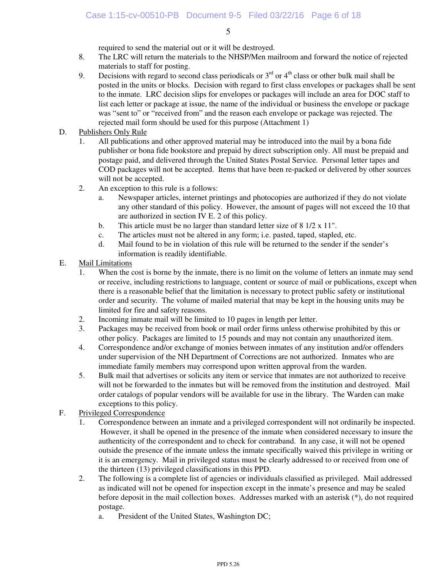required to send the material out or it will be destroyed.

- 8. The LRC will return the materials to the NHSP/Men mailroom and forward the notice of rejected materials to staff for posting.
- 9. Decisions with regard to second class periodicals or  $3<sup>rd</sup>$  or  $4<sup>th</sup>$  class or other bulk mail shall be posted in the units or blocks. Decision with regard to first class envelopes or packages shall be sent to the inmate. LRC decision slips for envelopes or packages will include an area for DOC staff to list each letter or package at issue, the name of the individual or business the envelope or package was "sent to" or "received from" and the reason each envelope or package was rejected. The rejected mail form should be used for this purpose (Attachment 1)
- D. Publishers Only Rule
	- 1. All publications and other approved material may be introduced into the mail by a bona fide publisher or bona fide bookstore and prepaid by direct subscription only. All must be prepaid and postage paid, and delivered through the United States Postal Service. Personal letter tapes and COD packages will not be accepted. Items that have been re-packed or delivered by other sources will not be accepted.
	- 2. An exception to this rule is a follows:
		- a. Newspaper articles, internet printings and photocopies are authorized if they do not violate any other standard of this policy. However, the amount of pages will not exceed the 10 that are authorized in section IV E. 2 of this policy.
		- b. This article must be no larger than standard letter size of 8 1/2 x 11".
		- c. The articles must not be altered in any form; i.e. pasted, taped, stapled, etc.
		- d. Mail found to be in violation of this rule will be returned to the sender if the sender's information is readily identifiable.
- E. Mail Limitations
	- 1. When the cost is borne by the inmate, there is no limit on the volume of letters an inmate may send or receive, including restrictions to language, content or source of mail or publications, except when there is a reasonable belief that the limitation is necessary to protect public safety or institutional order and security. The volume of mailed material that may be kept in the housing units may be limited for fire and safety reasons.
	- 2. Incoming inmate mail will be limited to 10 pages in length per letter.
	- 3. Packages may be received from book or mail order firms unless otherwise prohibited by this or other policy. Packages are limited to 15 pounds and may not contain any unauthorized item.
	- 4. Correspondence and/or exchange of monies between inmates of any institution and/or offenders under supervision of the NH Department of Corrections are not authorized. Inmates who are immediate family members may correspond upon written approval from the warden.
	- 5. Bulk mail that advertises or solicits any item or service that inmates are not authorized to receive will not be forwarded to the inmates but will be removed from the institution and destroyed. Mail order catalogs of popular vendors will be available for use in the library. The Warden can make exceptions to this policy.
- F. Privileged Correspondence
	- 1. Correspondence between an inmate and a privileged correspondent will not ordinarily be inspected. However, it shall be opened in the presence of the inmate when considered necessary to insure the authenticity of the correspondent and to check for contraband. In any case, it will not be opened outside the presence of the inmate unless the inmate specifically waived this privilege in writing or it is an emergency. Mail in privileged status must be clearly addressed to or received from one of the thirteen (13) privileged classifications in this PPD.
	- 2. The following is a complete list of agencies or individuals classified as privileged. Mail addressed as indicated will not be opened for inspection except in the inmate's presence and may be sealed before deposit in the mail collection boxes. Addresses marked with an asterisk (\*), do not required postage.
		- a. President of the United States, Washington DC;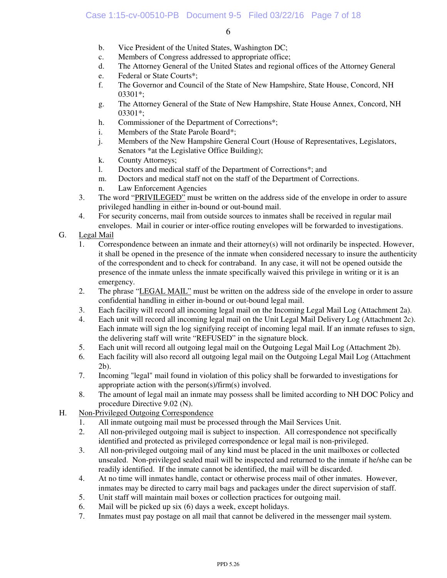- b. Vice President of the United States, Washington DC;
- c. Members of Congress addressed to appropriate office;
- d. The Attorney General of the United States and regional offices of the Attorney General
- e. Federal or State Courts\*;
- f. The Governor and Council of the State of New Hampshire, State House, Concord, NH 03301\*;
- g. The Attorney General of the State of New Hampshire, State House Annex, Concord, NH 03301\*;
- h. Commissioner of the Department of Corrections\*;
- i. Members of the State Parole Board\*;
- j. Members of the New Hampshire General Court (House of Representatives, Legislators, Senators \*at the Legislative Office Building);
- k. County Attorneys;
- l. Doctors and medical staff of the Department of Corrections\*; and
- m. Doctors and medical staff not on the staff of the Department of Corrections.
- n. Law Enforcement Agencies
- 3. The word "PRIVILEGED" must be written on the address side of the envelope in order to assure privileged handling in either in-bound or out-bound mail.
- 4. For security concerns, mail from outside sources to inmates shall be received in regular mail envelopes. Mail in courier or inter-office routing envelopes will be forwarded to investigations.
- G. Legal Mail
	- 1. Correspondence between an inmate and their attorney(s) will not ordinarily be inspected. However, it shall be opened in the presence of the inmate when considered necessary to insure the authenticity of the correspondent and to check for contraband. In any case, it will not be opened outside the presence of the inmate unless the inmate specifically waived this privilege in writing or it is an emergency.
	- 2. The phrase "LEGAL MAIL" must be written on the address side of the envelope in order to assure confidential handling in either in-bound or out-bound legal mail.
	- 3. Each facility will record all incoming legal mail on the Incoming Legal Mail Log (Attachment 2a).
	- 4. Each unit will record all incoming legal mail on the Unit Legal Mail Delivery Log (Attachment 2c). Each inmate will sign the log signifying receipt of incoming legal mail. If an inmate refuses to sign, the delivering staff will write "REFUSED" in the signature block.
	- 5. Each unit will record all outgoing legal mail on the Outgoing Legal Mail Log (Attachment 2b).
	- 6. Each facility will also record all outgoing legal mail on the Outgoing Legal Mail Log (Attachment 2b).
	- 7. Incoming "legal" mail found in violation of this policy shall be forwarded to investigations for appropriate action with the person(s)/firm(s) involved.
	- 8. The amount of legal mail an inmate may possess shall be limited according to NH DOC Policy and procedure Directive 9.02 (N).
- H. Non-Privileged Outgoing Correspondence
	- 1. All inmate outgoing mail must be processed through the Mail Services Unit.
	- 2. All non-privileged outgoing mail is subject to inspection. All correspondence not specifically identified and protected as privileged correspondence or legal mail is non-privileged.
	- 3. All non-privileged outgoing mail of any kind must be placed in the unit mailboxes or collected unsealed. Non-privileged sealed mail will be inspected and returned to the inmate if he/she can be readily identified. If the inmate cannot be identified, the mail will be discarded.
	- 4. At no time will inmates handle, contact or otherwise process mail of other inmates. However, inmates may be directed to carry mail bags and packages under the direct supervision of staff.
	- 5. Unit staff will maintain mail boxes or collection practices for outgoing mail.
	- 6. Mail will be picked up six (6) days a week, except holidays.
	- 7. Inmates must pay postage on all mail that cannot be delivered in the messenger mail system.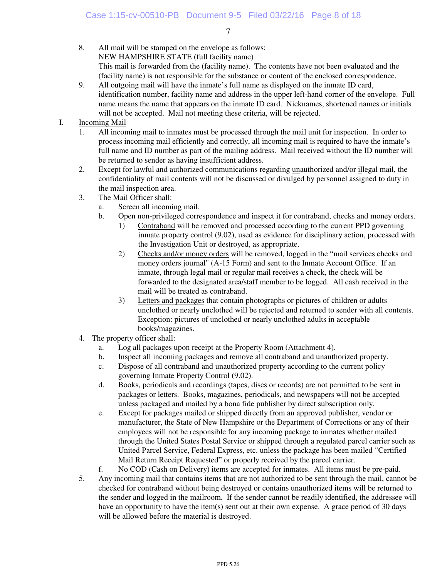- 8. All mail will be stamped on the envelope as follows: NEW HAMPSHIRE STATE (full facility name) This mail is forwarded from the (facility name). The contents have not been evaluated and the (facility name) is not responsible for the substance or content of the enclosed correspondence.
- 9. All outgoing mail will have the inmate's full name as displayed on the inmate ID card, identification number, facility name and address in the upper left-hand corner of the envelope. Full name means the name that appears on the inmate ID card. Nicknames, shortened names or initials will not be accepted. Mail not meeting these criteria, will be rejected.

## I. Incoming Mail

- 1. All incoming mail to inmates must be processed through the mail unit for inspection. In order to process incoming mail efficiently and correctly, all incoming mail is required to have the inmate's full name and ID number as part of the mailing address. Mail received without the ID number will be returned to sender as having insufficient address.
- 2. Except for lawful and authorized communications regarding unauthorized and/or illegal mail, the confidentiality of mail contents will not be discussed or divulged by personnel assigned to duty in the mail inspection area.
- 3. The Mail Officer shall:
	- a. Screen all incoming mail.
	- b. Open non-privileged correspondence and inspect it for contraband, checks and money orders.
		- 1) Contraband will be removed and processed according to the current PPD governing inmate property control (9.02), used as evidence for disciplinary action, processed with the Investigation Unit or destroyed, as appropriate.
		- 2) Checks and/or money orders will be removed, logged in the "mail services checks and money orders journal" (A-15 Form) and sent to the Inmate Account Office. If an inmate, through legal mail or regular mail receives a check, the check will be forwarded to the designated area/staff member to be logged. All cash received in the mail will be treated as contraband.
		- 3) Letters and packages that contain photographs or pictures of children or adults unclothed or nearly unclothed will be rejected and returned to sender with all contents. Exception: pictures of unclothed or nearly unclothed adults in acceptable books/magazines.
- 4. The property officer shall:
	- a. Log all packages upon receipt at the Property Room (Attachment 4).
	- b. Inspect all incoming packages and remove all contraband and unauthorized property.
	- c. Dispose of all contraband and unauthorized property according to the current policy governing Inmate Property Control (9.02).
	- d. Books, periodicals and recordings (tapes, discs or records) are not permitted to be sent in packages or letters. Books, magazines, periodicals, and newspapers will not be accepted unless packaged and mailed by a bona fide publisher by direct subscription only.
	- e. Except for packages mailed or shipped directly from an approved publisher, vendor or manufacturer, the State of New Hampshire or the Department of Corrections or any of their employees will not be responsible for any incoming package to inmates whether mailed through the United States Postal Service or shipped through a regulated parcel carrier such as United Parcel Service, Federal Express, etc. unless the package has been mailed "Certified Mail Return Receipt Requested" or properly received by the parcel carrier.
- f. No COD (Cash on Delivery) items are accepted for inmates. All items must be pre-paid. 5. Any incoming mail that contains items that are not authorized to be sent through the mail, cannot be checked for contraband without being destroyed or contains unauthorized items will be returned to the sender and logged in the mailroom. If the sender cannot be readily identified, the addressee will have an opportunity to have the item(s) sent out at their own expense. A grace period of 30 days will be allowed before the material is destroyed.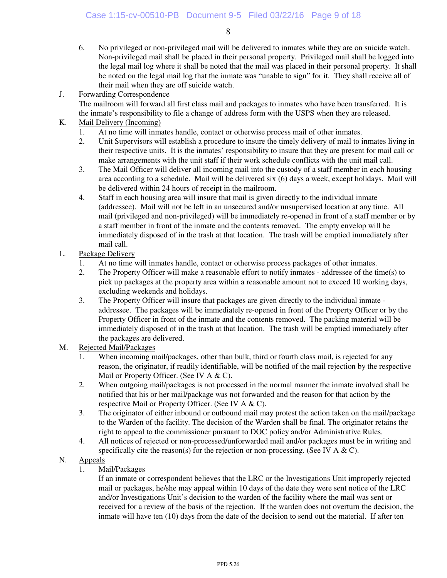6. No privileged or non-privileged mail will be delivered to inmates while they are on suicide watch. Non-privileged mail shall be placed in their personal property. Privileged mail shall be logged into the legal mail log where it shall be noted that the mail was placed in their personal property. It shall be noted on the legal mail log that the inmate was "unable to sign" for it. They shall receive all of their mail when they are off suicide watch.

## J. Forwarding Correspondence

 The mailroom will forward all first class mail and packages to inmates who have been transferred. It is the inmate's responsibility to file a change of address form with the USPS when they are released.

## K. Mail Delivery (Incoming)

- 1. At no time will inmates handle, contact or otherwise process mail of other inmates.
- 2. Unit Supervisors will establish a procedure to insure the timely delivery of mail to inmates living in their respective units. It is the inmates' responsibility to insure that they are present for mail call or make arrangements with the unit staff if their work schedule conflicts with the unit mail call.
- 3. The Mail Officer will deliver all incoming mail into the custody of a staff member in each housing area according to a schedule. Mail will be delivered six (6) days a week, except holidays. Mail will be delivered within 24 hours of receipt in the mailroom.
- 4. Staff in each housing area will insure that mail is given directly to the individual inmate (addressee). Mail will not be left in an unsecured and/or unsupervised location at any time. All mail (privileged and non-privileged) will be immediately re-opened in front of a staff member or by a staff member in front of the inmate and the contents removed. The empty envelop will be immediately disposed of in the trash at that location. The trash will be emptied immediately after mail call.
- L. Package Delivery
	- 1. At no time will inmates handle, contact or otherwise process packages of other inmates.
	- 2. The Property Officer will make a reasonable effort to notify inmates addressee of the time(s) to pick up packages at the property area within a reasonable amount not to exceed 10 working days, excluding weekends and holidays.
	- 3. The Property Officer will insure that packages are given directly to the individual inmate addressee. The packages will be immediately re-opened in front of the Property Officer or by the Property Officer in front of the inmate and the contents removed. The packing material will be immediately disposed of in the trash at that location. The trash will be emptied immediately after the packages are delivered.

## M. Rejected Mail/Packages

- 1. When incoming mail/packages, other than bulk, third or fourth class mail, is rejected for any reason, the originator, if readily identifiable, will be notified of the mail rejection by the respective Mail or Property Officer. (See IV A & C).
- 2. When outgoing mail/packages is not processed in the normal manner the inmate involved shall be notified that his or her mail/package was not forwarded and the reason for that action by the respective Mail or Property Officer. (See IV A & C).
- 3. The originator of either inbound or outbound mail may protest the action taken on the mail/package to the Warden of the facility. The decision of the Warden shall be final. The originator retains the right to appeal to the commissioner pursuant to DOC policy and/or Administrative Rules.
- 4. All notices of rejected or non-processed/unforwarded mail and/or packages must be in writing and specifically cite the reason(s) for the rejection or non-processing. (See IV A  $\&$  C).

## N. Appeals

1. Mail/Packages

If an inmate or correspondent believes that the LRC or the Investigations Unit improperly rejected mail or packages, he/she may appeal within 10 days of the date they were sent notice of the LRC and/or Investigations Unit's decision to the warden of the facility where the mail was sent or received for a review of the basis of the rejection. If the warden does not overturn the decision, the inmate will have ten (10) days from the date of the decision to send out the material. If after ten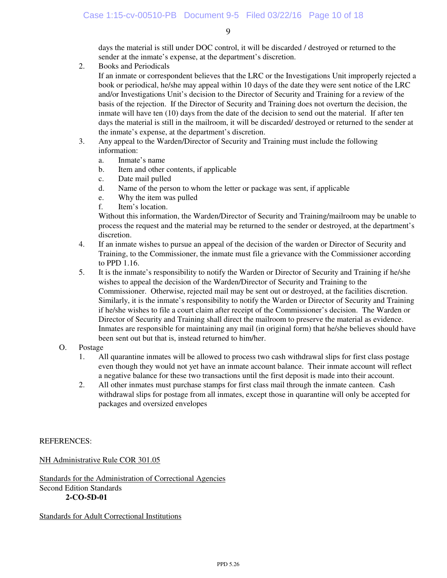days the material is still under DOC control, it will be discarded / destroyed or returned to the sender at the inmate's expense, at the department's discretion.

2. Books and Periodicals

If an inmate or correspondent believes that the LRC or the Investigations Unit improperly rejected a book or periodical, he/she may appeal within 10 days of the date they were sent notice of the LRC and/or Investigations Unit's decision to the Director of Security and Training for a review of the basis of the rejection. If the Director of Security and Training does not overturn the decision, the inmate will have ten (10) days from the date of the decision to send out the material. If after ten days the material is still in the mailroom, it will be discarded/ destroyed or returned to the sender at the inmate's expense, at the department's discretion.

- 3. Any appeal to the Warden/Director of Security and Training must include the following information:
	- a. Inmate's name
	- b. Item and other contents, if applicable
	- c. Date mail pulled
	- d. Name of the person to whom the letter or package was sent, if applicable
	- e. Why the item was pulled
	- f. Item's location.

 Without this information, the Warden/Director of Security and Training/mailroom may be unable to process the request and the material may be returned to the sender or destroyed, at the department's discretion.

- 4. If an inmate wishes to pursue an appeal of the decision of the warden or Director of Security and Training, to the Commissioner, the inmate must file a grievance with the Commissioner according to PPD 1.16.
- 5. It is the inmate's responsibility to notify the Warden or Director of Security and Training if he/she wishes to appeal the decision of the Warden/Director of Security and Training to the Commissioner. Otherwise, rejected mail may be sent out or destroyed, at the facilities discretion. Similarly, it is the inmate's responsibility to notify the Warden or Director of Security and Training if he/she wishes to file a court claim after receipt of the Commissioner's decision. The Warden or Director of Security and Training shall direct the mailroom to preserve the material as evidence. Inmates are responsible for maintaining any mail (in original form) that he/she believes should have been sent out but that is, instead returned to him/her.
- O. Postage
	- 1. All quarantine inmates will be allowed to process two cash withdrawal slips for first class postage even though they would not yet have an inmate account balance. Their inmate account will reflect a negative balance for these two transactions until the first deposit is made into their account.
	- 2. All other inmates must purchase stamps for first class mail through the inmate canteen. Cash withdrawal slips for postage from all inmates, except those in quarantine will only be accepted for packages and oversized envelopes

#### REFERENCES:

NH Administrative Rule COR 301.05

Standards for the Administration of Correctional Agencies Second Edition Standards **2-CO-5D-01** 

Standards for Adult Correctional Institutions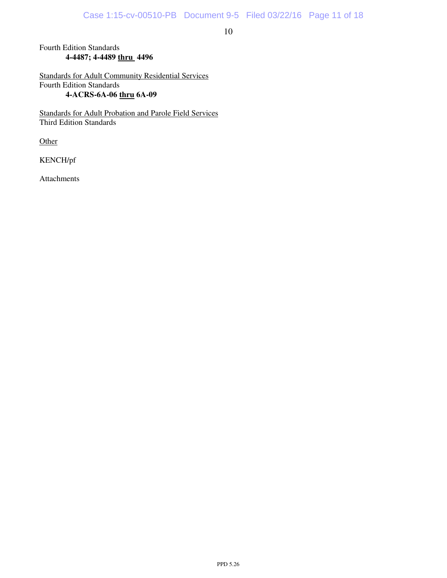#### Fourth Edition Standards  **4-4487; 4-4489 thru 4496**

Standards for Adult Community Residential Services Fourth Edition Standards **4-ACRS-6A-06 thru 6A-09** 

Standards for Adult Probation and Parole Field Services Third Edition Standards

**Other** 

KENCH/pf

Attachments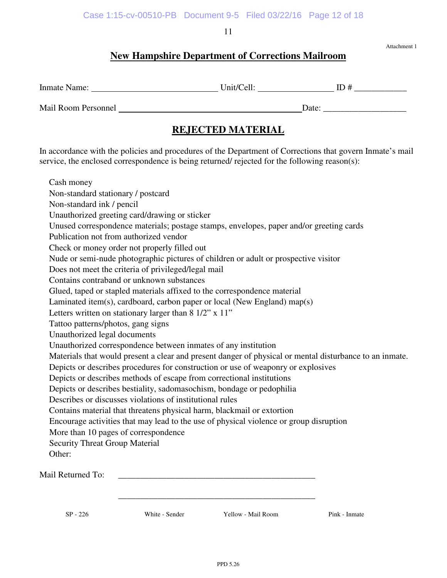# **New Hampshire Department of Corrections Mailroom**

Attachment 1

| $\sim$<br>Inmate<br>$\cdots$<br>Name. | $\sim$<br>- 11<br>ln <sub>1</sub> f/l<br>$\sim$ $\blacksquare$ | ᅭ |
|---------------------------------------|----------------------------------------------------------------|---|
|                                       |                                                                |   |

## Mail Room Personnel Date: \_\_\_\_\_\_\_\_\_\_\_\_\_\_\_\_\_\_\_

# **REJECTED MATERIAL**

In accordance with the policies and procedures of the Department of Corrections that govern Inmate's mail service, the enclosed correspondence is being returned/ rejected for the following reason(s):

| Cash money                                                                                              |
|---------------------------------------------------------------------------------------------------------|
| Non-standard stationary / postcard                                                                      |
| Non-standard ink / pencil                                                                               |
| Unauthorized greeting card/drawing or sticker                                                           |
| Unused correspondence materials; postage stamps, envelopes, paper and/or greeting cards                 |
| Publication not from authorized vendor                                                                  |
| Check or money order not properly filled out                                                            |
| Nude or semi-nude photographic pictures of children or adult or prospective visitor                     |
| Does not meet the criteria of privileged/legal mail                                                     |
| Contains contraband or unknown substances                                                               |
| Glued, taped or stapled materials affixed to the correspondence material                                |
| Laminated item(s), cardboard, carbon paper or local (New England) map(s)                                |
| Letters written on stationary larger than 8 1/2" x 11"                                                  |
| Tattoo patterns/photos, gang signs                                                                      |
| Unauthorized legal documents                                                                            |
| Unauthorized correspondence between inmates of any institution                                          |
| Materials that would present a clear and present danger of physical or mental disturbance to an inmate. |
| Depicts or describes procedures for construction or use of weaponry or explosives                       |
| Depicts or describes methods of escape from correctional institutions                                   |
| Depicts or describes bestiality, sadomasochism, bondage or pedophilia                                   |
| Describes or discusses violations of institutional rules                                                |
| Contains material that threatens physical harm, blackmail or extortion                                  |
| Encourage activities that may lead to the use of physical violence or group disruption                  |
| More than 10 pages of correspondence                                                                    |
| <b>Security Threat Group Material</b>                                                                   |
| Other:                                                                                                  |
|                                                                                                         |
| Mail Returned To:                                                                                       |
|                                                                                                         |
|                                                                                                         |
| White - Sender<br>Yellow - Mail Room<br>$SP - 226$<br>Pink - Inmate                                     |
|                                                                                                         |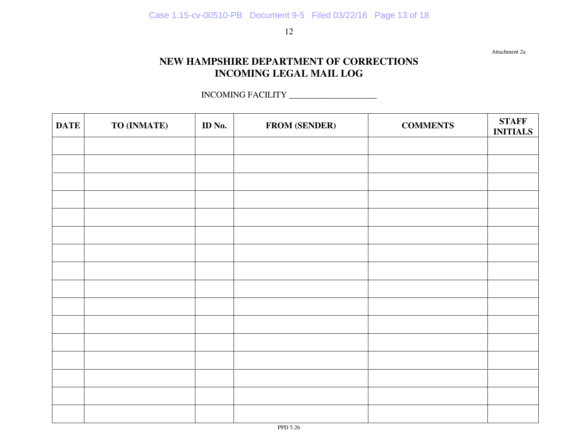Attachment 2a

# **NEW HAMPSHIRE DEPARTMENT OF CORRECTIONS INCOMING LEGAL MAIL LOG**

INCOMING FACILITY \_\_\_\_\_\_\_\_\_\_\_\_\_\_\_\_\_\_\_\_

| <b>DATE</b> | TO (INMATE) | ID No. | <b>FROM (SENDER)</b> | <b>COMMENTS</b> | <b>STAFF</b><br><b>INITIALS</b> |
|-------------|-------------|--------|----------------------|-----------------|---------------------------------|
|             |             |        |                      |                 |                                 |
|             |             |        |                      |                 |                                 |
|             |             |        |                      |                 |                                 |
|             |             |        |                      |                 |                                 |
|             |             |        |                      |                 |                                 |
|             |             |        |                      |                 |                                 |
|             |             |        |                      |                 |                                 |
|             |             |        |                      |                 |                                 |
|             |             |        |                      |                 |                                 |
|             |             |        |                      |                 |                                 |
|             |             |        |                      |                 |                                 |
|             |             |        |                      |                 |                                 |
|             |             |        |                      |                 |                                 |
|             |             |        |                      |                 |                                 |
|             |             |        |                      |                 |                                 |
|             |             |        |                      |                 |                                 |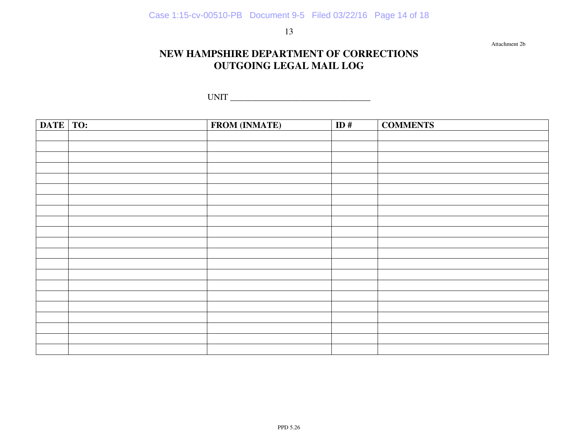Attachment 2b

## **NEW HAMPSHIRE DEPARTMENT OF CORRECTIONS OUTGOING LEGAL MAIL LOG**

UNIT \_\_\_\_\_\_\_\_\_\_\_\_\_\_\_\_\_\_\_\_\_\_\_\_\_\_\_\_\_\_\_\_

| DATE TO: | <b>FROM (INMATE)</b> | ID# | <b>COMMENTS</b> |
|----------|----------------------|-----|-----------------|
|          |                      |     |                 |
|          |                      |     |                 |
|          |                      |     |                 |
|          |                      |     |                 |
|          |                      |     |                 |
|          |                      |     |                 |
|          |                      |     |                 |
|          |                      |     |                 |
|          |                      |     |                 |
|          |                      |     |                 |
|          |                      |     |                 |
|          |                      |     |                 |
|          |                      |     |                 |
|          |                      |     |                 |
|          |                      |     |                 |
|          |                      |     |                 |
|          |                      |     |                 |
|          |                      |     |                 |
|          |                      |     |                 |
|          |                      |     |                 |
|          |                      |     |                 |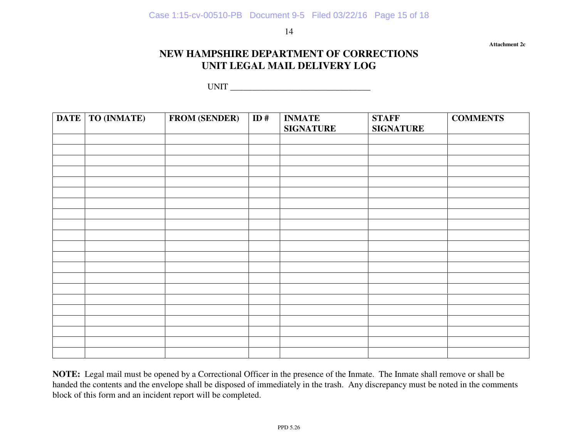**Attachment 2c** 

## **NEW HAMPSHIRE DEPARTMENT OF CORRECTIONS UNIT LEGAL MAIL DELIVERY LOG**

UNIT \_\_\_\_\_\_\_\_\_\_\_\_\_\_\_\_\_\_\_\_\_\_\_\_\_\_\_\_\_\_\_\_

| <b>DATE</b> | TO (INMATE) | <b>FROM (SENDER)</b> | $\overline{ID}$ # | <b>INMATE</b><br><b>SIGNATURE</b> | <b>STAFF</b><br><b>SIGNATURE</b> | <b>COMMENTS</b> |
|-------------|-------------|----------------------|-------------------|-----------------------------------|----------------------------------|-----------------|
|             |             |                      |                   |                                   |                                  |                 |
|             |             |                      |                   |                                   |                                  |                 |
|             |             |                      |                   |                                   |                                  |                 |
|             |             |                      |                   |                                   |                                  |                 |
|             |             |                      |                   |                                   |                                  |                 |
|             |             |                      |                   |                                   |                                  |                 |
|             |             |                      |                   |                                   |                                  |                 |
|             |             |                      |                   |                                   |                                  |                 |
|             |             |                      |                   |                                   |                                  |                 |
|             |             |                      |                   |                                   |                                  |                 |
|             |             |                      |                   |                                   |                                  |                 |
|             |             |                      |                   |                                   |                                  |                 |
|             |             |                      |                   |                                   |                                  |                 |
|             |             |                      |                   |                                   |                                  |                 |
|             |             |                      |                   |                                   |                                  |                 |
|             |             |                      |                   |                                   |                                  |                 |
|             |             |                      |                   |                                   |                                  |                 |
|             |             |                      |                   |                                   |                                  |                 |
|             |             |                      |                   |                                   |                                  |                 |

**NOTE:** Legal mail must be opened by a Correctional Officer in the presence of the Inmate. The Inmate shall remove or shall be handed the contents and the envelope shall be disposed of immediately in the trash. Any discrepancy must be noted in the comments block of this form and an incident report will be completed.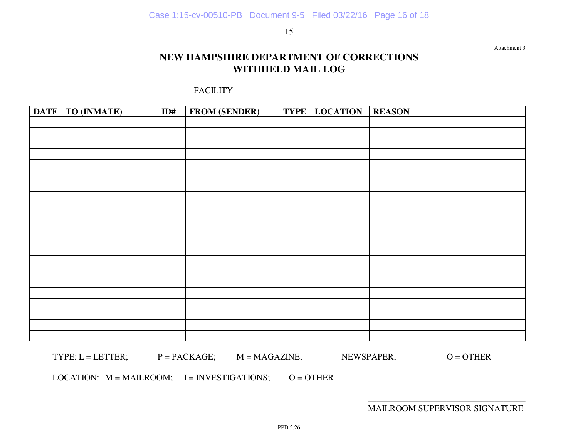Attachment 3

# **NEW HAMPSHIRE DEPARTMENT OF CORRECTIONS WITHHELD MAIL LOG**

FACILITY \_\_\_\_\_\_\_\_\_\_\_\_\_\_\_\_\_\_\_\_\_\_\_\_\_\_\_\_\_\_\_\_\_\_

| DATE   TO (INMATE) | ID# | <b>FROM (SENDER)</b> | <b>TYPE LOCATION</b> | <b>REASON</b> |
|--------------------|-----|----------------------|----------------------|---------------|
|                    |     |                      |                      |               |
|                    |     |                      |                      |               |
|                    |     |                      |                      |               |
|                    |     |                      |                      |               |
|                    |     |                      |                      |               |
|                    |     |                      |                      |               |
|                    |     |                      |                      |               |
|                    |     |                      |                      |               |
|                    |     |                      |                      |               |
|                    |     |                      |                      |               |
|                    |     |                      |                      |               |
|                    |     |                      |                      |               |
|                    |     |                      |                      |               |
|                    |     |                      |                      |               |
|                    |     |                      |                      |               |
|                    |     |                      |                      |               |
|                    |     |                      |                      |               |
|                    |     |                      |                      |               |
|                    |     |                      |                      |               |
|                    |     |                      |                      |               |
|                    |     |                      |                      |               |

 $\text{TYPE: } \mathsf{L} = \mathsf{LETTER}; \quad \mathsf{P} = \mathsf{PACKAGE}; \quad \mathsf{M} = \mathsf{MAGAZINE}; \quad \mathsf{NEWSPAPER}; \quad \mathsf{O} = \mathsf{OTHER}$ 

LOCATION:  $M = MAILRODUCTION;$   $I = INVESTIGATIONS;$   $O = OTHER$ 

MAILROOM SUPERVISOR SIGNATURE

 $\overline{\phantom{a}}$  , which is a set of the set of the set of the set of the set of the set of the set of the set of the set of the set of the set of the set of the set of the set of the set of the set of the set of the set of th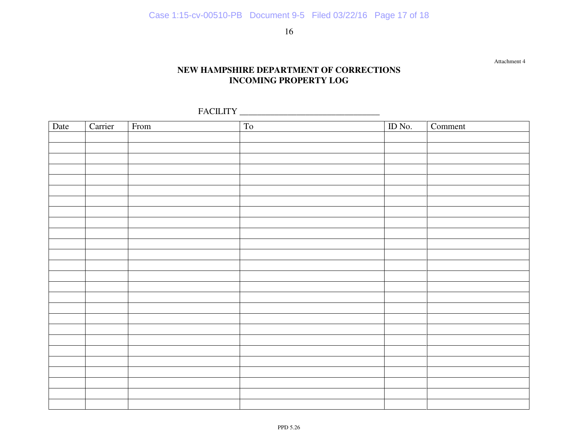## **NEW HAMPSHIRE DEPARTMENT OF CORRECTIONS INCOMING PROPERTY LOG**

Attachment 4

FACILITY \_\_\_\_\_\_\_\_\_\_\_\_\_\_\_\_\_\_\_\_\_\_\_\_\_\_\_\_\_\_\_\_

| Date | Carrier | From | To | ID No. | Comment |
|------|---------|------|----|--------|---------|
|      |         |      |    |        |         |
|      |         |      |    |        |         |
|      |         |      |    |        |         |
|      |         |      |    |        |         |
|      |         |      |    |        |         |
|      |         |      |    |        |         |
|      |         |      |    |        |         |
|      |         |      |    |        |         |
|      |         |      |    |        |         |
|      |         |      |    |        |         |
|      |         |      |    |        |         |
|      |         |      |    |        |         |
|      |         |      |    |        |         |
|      |         |      |    |        |         |
|      |         |      |    |        |         |
|      |         |      |    |        |         |
|      |         |      |    |        |         |
|      |         |      |    |        |         |
|      |         |      |    |        |         |
|      |         |      |    |        |         |
|      |         |      |    |        |         |
|      |         |      |    |        |         |
|      |         |      |    |        |         |
|      |         |      |    |        |         |
|      |         |      |    |        |         |
|      |         |      |    |        |         |